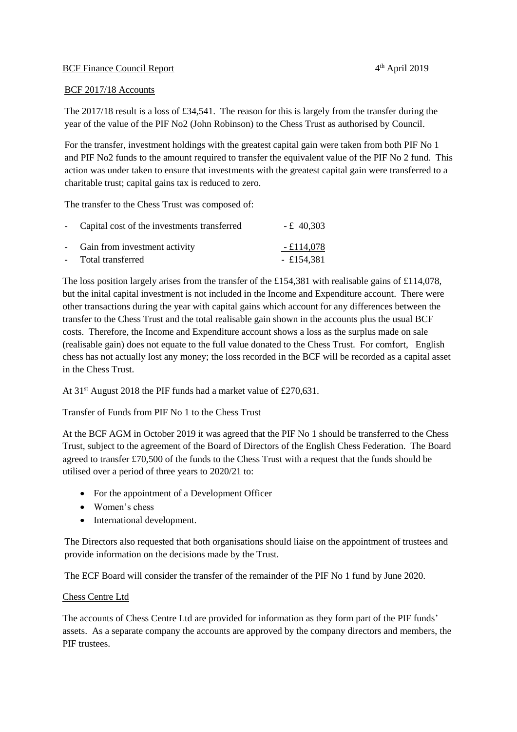## **BCF Finance Council Report**

## BCF 2017/18 Accounts

The 2017/18 result is a loss of £34,541. The reason for this is largely from the transfer during the year of the value of the PIF No2 (John Robinson) to the Chess Trust as authorised by Council.

For the transfer, investment holdings with the greatest capital gain were taken from both PIF No 1 and PIF No2 funds to the amount required to transfer the equivalent value of the PIF No 2 fund. This action was under taken to ensure that investments with the greatest capital gain were transferred to a charitable trust; capital gains tax is reduced to zero.

The transfer to the Chess Trust was composed of:

| - Capital cost of the investments transferred | $-£$ 40,303 |
|-----------------------------------------------|-------------|
| - Gain from investment activity               | - £114,078  |
| - Total transferred                           | - £154,381  |

The loss position largely arises from the transfer of the £154,381 with realisable gains of £114,078, but the inital capital investment is not included in the Income and Expenditure account. There were other transactions during the year with capital gains which account for any differences between the transfer to the Chess Trust and the total realisable gain shown in the accounts plus the usual BCF costs. Therefore, the Income and Expenditure account shows a loss as the surplus made on sale (realisable gain) does not equate to the full value donated to the Chess Trust. For comfort, English chess has not actually lost any money; the loss recorded in the BCF will be recorded as a capital asset in the Chess Trust.

At 31<sup>st</sup> August 2018 the PIF funds had a market value of £270,631.

## Transfer of Funds from PIF No 1 to the Chess Trust

At the BCF AGM in October 2019 it was agreed that the PIF No 1 should be transferred to the Chess Trust, subject to the agreement of the Board of Directors of the English Chess Federation. The Board agreed to transfer £70,500 of the funds to the Chess Trust with a request that the funds should be utilised over a period of three years to 2020/21 to:

- For the appointment of a Development Officer
- Women's chess
- International development.

The Directors also requested that both organisations should liaise on the appointment of trustees and provide information on the decisions made by the Trust.

The ECF Board will consider the transfer of the remainder of the PIF No 1 fund by June 2020.

## Chess Centre Ltd

The accounts of Chess Centre Ltd are provided for information as they form part of the PIF funds' assets. As a separate company the accounts are approved by the company directors and members, the PIF trustees.